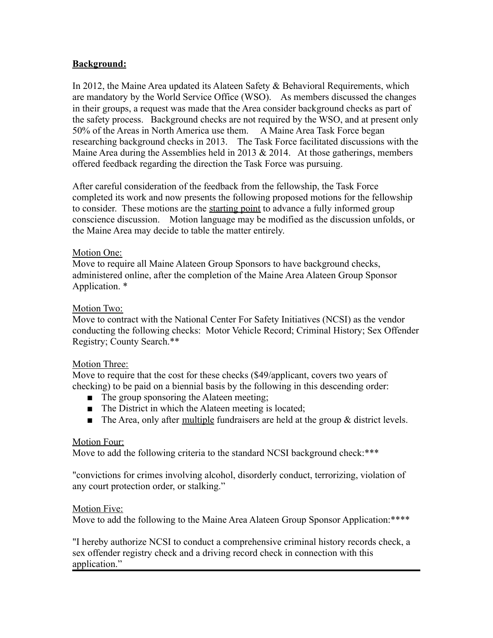## **Background:**

In 2012, the Maine Area updated its Alateen Safety & Behavioral Requirements, which are mandatory by the World Service Office (WSO). As members discussed the changes in their groups, a request was made that the Area consider background checks as part of the safety process. Background checks are not required by the WSO, and at present only 50% of the Areas in North America use them. A Maine Area Task Force began researching background checks in 2013. The Task Force facilitated discussions with the Maine Area during the Assemblies held in 2013  $& 2014$ . At those gatherings, members offered feedback regarding the direction the Task Force was pursuing.

After careful consideration of the feedback from the fellowship, the Task Force completed its work and now presents the following proposed motions for the fellowship to consider. These motions are the starting point to advance a fully informed group conscience discussion. Motion language may be modified as the discussion unfolds, or the Maine Area may decide to table the matter entirely.

### Motion One:

Move to require all Maine Alateen Group Sponsors to have background checks, administered online, after the completion of the Maine Area Alateen Group Sponsor Application. \*

# Motion Two:

Move to contract with the National Center For Safety Initiatives (NCSI) as the vendor conducting the following checks: Motor Vehicle Record; Criminal History; Sex Offender Registry; County Search.\*\*

### Motion Three:

Move to require that the cost for these checks (\$49/applicant, covers two years of checking) to be paid on a biennial basis by the following in this descending order:

- The group sponsoring the Alateen meeting;
- The District in which the Alateen meeting is located;
- $\blacksquare$  The Area, only after multiple fundraisers are held at the group & district levels.

### Motion Four:

Move to add the following criteria to the standard NCSI background check:\*\*\*

"convictions for crimes involving alcohol, disorderly conduct, terrorizing, violation of any court protection order, or stalking."

### Motion Five:

Move to add the following to the Maine Area Alateen Group Sponsor Application: \*\*\*\*

"I hereby authorize NCSI to conduct a comprehensive criminal history records check, a sex offender registry check and a driving record check in connection with this application."